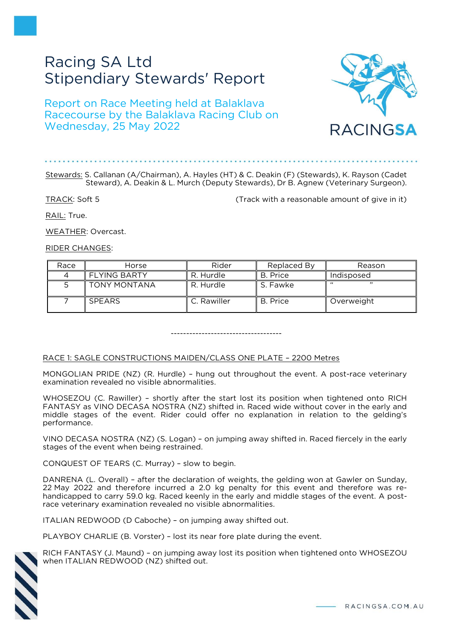# Racing SA Ltd Stipendiary Stewards' Report

# Report on Race Meeting held at Balaklava Racecourse by the Balaklava Racing Club on Wednesday, 25 May 2022



# Stewards: S. Callanan (A/Chairman), A. Hayles (HT) & C. Deakin (F) (Stewards), K. Rayson (Cadet Steward), A. Deakin & L. Murch (Deputy Stewards), Dr B. Agnew (Veterinary Surgeon).

TRACK: Soft 5 (Track with a reasonable amount of give in it)

RAIL: True.

WEATHER: Overcast.

RIDER CHANGES:

| Race | Horse               | Rider       | Replaced By | Reason     |
|------|---------------------|-------------|-------------|------------|
|      | <b>FLYING BARTY</b> | R. Hurdle   | B. Price    | Indisposed |
|      | <b>TONY MONTANA</b> | R. Hurdle   | S. Fawke    | ,,         |
|      | <b>SPEARS</b>       | C. Rawiller | B. Price    | Overweight |

------------------------------------

# RACE 1: SAGLE CONSTRUCTIONS MAIDEN/CLASS ONE PLATE – 2200 Metres

MONGOLIAN PRIDE (NZ) (R. Hurdle) – hung out throughout the event. A post-race veterinary examination revealed no visible abnormalities.

WHOSEZOU (C. Rawiller) – shortly after the start lost its position when tightened onto RICH FANTASY as VINO DECASA NOSTRA (NZ) shifted in. Raced wide without cover in the early and middle stages of the event. Rider could offer no explanation in relation to the gelding's performance.

VINO DECASA NOSTRA (NZ) (S. Logan) – on jumping away shifted in. Raced fiercely in the early stages of the event when being restrained.

CONQUEST OF TEARS (C. Murray) – slow to begin.

DANRENA (L. Overall) – after the declaration of weights, the gelding won at Gawler on Sunday, 22 May 2022 and therefore incurred a 2.0 kg penalty for this event and therefore was rehandicapped to carry 59.0 kg. Raced keenly in the early and middle stages of the event. A postrace veterinary examination revealed no visible abnormalities.

ITALIAN REDWOOD (D Caboche) – on jumping away shifted out.

PLAYBOY CHARLIE (B. Vorster) – lost its near fore plate during the event.

RICH FANTASY (J. Maund) – on jumping away lost its position when tightened onto WHOSEZOU when ITALIAN REDWOOD (NZ) shifted out.

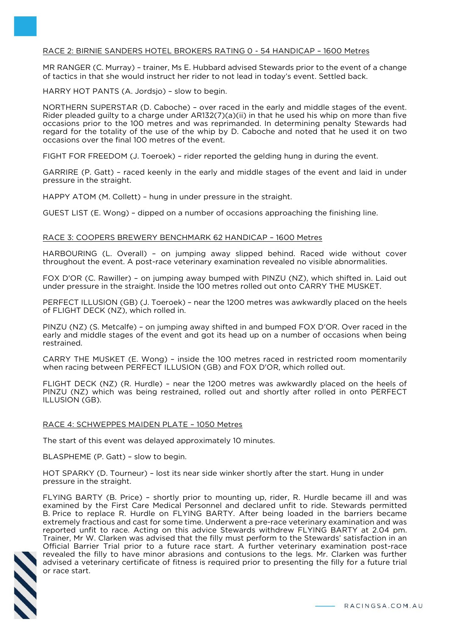# RACE 2: BIRNIE SANDERS HOTEL BROKERS RATING 0 - 54 HANDICAP – 1600 Metres

MR RANGER (C. Murray) – trainer, Ms E. Hubbard advised Stewards prior to the event of a change of tactics in that she would instruct her rider to not lead in today's event. Settled back.

HARRY HOT PANTS (A. Jordsjo) – slow to begin.

NORTHERN SUPERSTAR (D. Caboche) – over raced in the early and middle stages of the event. Rider pleaded guilty to a charge under AR132(7)(a)(ii) in that he used his whip on more than five occasions prior to the 100 metres and was reprimanded. In determining penalty Stewards had regard for the totality of the use of the whip by D. Caboche and noted that he used it on two occasions over the final 100 metres of the event.

FIGHT FOR FREEDOM (J. Toeroek) – rider reported the gelding hung in during the event.

GARRIRE (P. Gatt) – raced keenly in the early and middle stages of the event and laid in under pressure in the straight.

HAPPY ATOM (M. Collett) – hung in under pressure in the straight.

GUEST LIST (E. Wong) – dipped on a number of occasions approaching the finishing line.

#### RACE 3: COOPERS BREWERY BENCHMARK 62 HANDICAP – 1600 Metres

HARBOURING (L. Overall) – on jumping away slipped behind. Raced wide without cover throughout the event. A post-race veterinary examination revealed no visible abnormalities.

FOX D'OR (C. Rawiller) – on jumping away bumped with PINZU (NZ), which shifted in. Laid out under pressure in the straight. Inside the 100 metres rolled out onto CARRY THE MUSKET.

PERFECT ILLUSION (GB) (J. Toeroek) – near the 1200 metres was awkwardly placed on the heels of FLIGHT DECK (NZ), which rolled in.

PINZU (NZ) (S. Metcalfe) – on jumping away shifted in and bumped FOX D'OR. Over raced in the early and middle stages of the event and got its head up on a number of occasions when being restrained.

CARRY THE MUSKET (E. Wong) – inside the 100 metres raced in restricted room momentarily when racing between PERFECT ILLUSION (GB) and FOX D'OR, which rolled out.

FLIGHT DECK (NZ) (R. Hurdle) – near the 1200 metres was awkwardly placed on the heels of PINZU (NZ) which was being restrained, rolled out and shortly after rolled in onto PERFECT ILLUSION (GB).

## RACE 4: SCHWEPPES MAIDEN PLATE – 1050 Metres

The start of this event was delayed approximately 10 minutes.

BLASPHEME (P. Gatt) – slow to begin.

HOT SPARKY (D. Tourneur) – lost its near side winker shortly after the start. Hung in under pressure in the straight.

FLYING BARTY (B. Price) – shortly prior to mounting up, rider, R. Hurdle became ill and was examined by the First Care Medical Personnel and declared unfit to ride. Stewards permitted B. Price to replace R. Hurdle on FLYING BARTY. After being loaded in the barriers became extremely fractious and cast for some time. Underwent a pre-race veterinary examination and was reported unfit to race. Acting on this advice Stewards withdrew FLYING BARTY at 2.04 pm. Trainer, Mr W. Clarken was advised that the filly must perform to the Stewards' satisfaction in an Official Barrier Trial prior to a future race start. A further veterinary examination post-race revealed the filly to have minor abrasions and contusions to the legs. Mr. Clarken was further advised a veterinary certificate of fitness is required prior to presenting the filly for a future trial or race start.

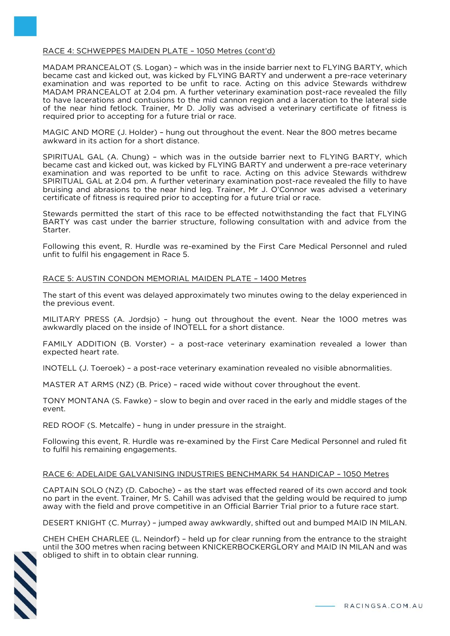# RACE 4: SCHWEPPES MAIDEN PLATE – 1050 Metres (cont'd)

MADAM PRANCEALOT (S. Logan) – which was in the inside barrier next to FLYING BARTY, which became cast and kicked out, was kicked by FLYING BARTY and underwent a pre-race veterinary examination and was reported to be unfit to race. Acting on this advice Stewards withdrew MADAM PRANCEALOT at 2.04 pm. A further veterinary examination post-race revealed the filly to have lacerations and contusions to the mid cannon region and a laceration to the lateral side of the near hind fetlock. Trainer, Mr D. Jolly was advised a veterinary certificate of fitness is required prior to accepting for a future trial or race.

MAGIC AND MORE (J. Holder) – hung out throughout the event. Near the 800 metres became awkward in its action for a short distance.

SPIRITUAL GAL (A. Chung) – which was in the outside barrier next to FLYING BARTY, which became cast and kicked out, was kicked by FLYING BARTY and underwent a pre-race veterinary examination and was reported to be unfit to race. Acting on this advice Stewards withdrew SPIRITUAL GAL at 2.04 pm. A further veterinary examination post-race revealed the filly to have bruising and abrasions to the near hind leg. Trainer, Mr J. O'Connor was advised a veterinary certificate of fitness is required prior to accepting for a future trial or race.

Stewards permitted the start of this race to be effected notwithstanding the fact that FLYING BARTY was cast under the barrier structure, following consultation with and advice from the Starter.

Following this event, R. Hurdle was re-examined by the First Care Medical Personnel and ruled unfit to fulfil his engagement in Race 5.

#### RACE 5: AUSTIN CONDON MEMORIAL MAIDEN PLATE – 1400 Metres

The start of this event was delayed approximately two minutes owing to the delay experienced in the previous event.

MILITARY PRESS (A. Jordsjo) – hung out throughout the event. Near the 1000 metres was awkwardly placed on the inside of INOTELL for a short distance.

FAMILY ADDITION (B. Vorster) – a post-race veterinary examination revealed a lower than expected heart rate.

INOTELL (J. Toeroek) – a post-race veterinary examination revealed no visible abnormalities.

MASTER AT ARMS (NZ) (B. Price) – raced wide without cover throughout the event.

TONY MONTANA (S. Fawke) – slow to begin and over raced in the early and middle stages of the event.

RED ROOF (S. Metcalfe) – hung in under pressure in the straight.

Following this event, R. Hurdle was re-examined by the First Care Medical Personnel and ruled fit to fulfil his remaining engagements.

## RACE 6: ADELAIDE GALVANISING INDUSTRIES BENCHMARK 54 HANDICAP – 1050 Metres

CAPTAIN SOLO (NZ) (D. Caboche) – as the start was effected reared of its own accord and took no part in the event. Trainer, Mr S. Cahill was advised that the gelding would be required to jump away with the field and prove competitive in an Official Barrier Trial prior to a future race start.

DESERT KNIGHT (C. Murray) – jumped away awkwardly, shifted out and bumped MAID IN MILAN.

CHEH CHEH CHARLEE (L. Neindorf) – held up for clear running from the entrance to the straight until the 300 metres when racing between KNICKERBOCKERGLORY and MAID IN MILAN and was obliged to shift in to obtain clear running.

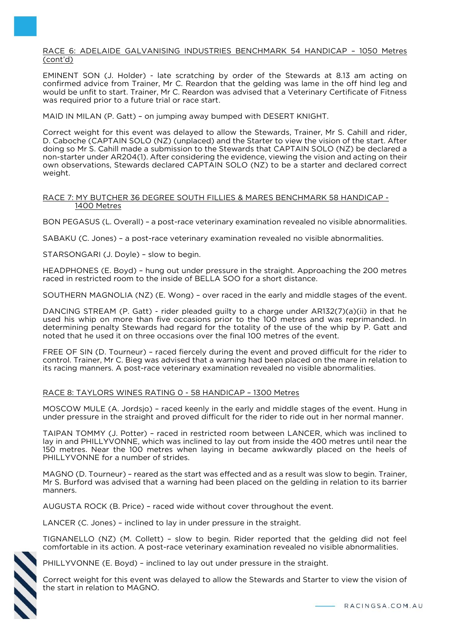RACE 6: ADELAIDE GALVANISING INDUSTRIES BENCHMARK 54 HANDICAP – 1050 Metres (cont'd)

EMINENT SON (J. Holder) - late scratching by order of the Stewards at 8.13 am acting on confirmed advice from Trainer, Mr C. Reardon that the gelding was lame in the off hind leg and would be unfit to start. Trainer, Mr C. Reardon was advised that a Veterinary Certificate of Fitness was required prior to a future trial or race start.

MAID IN MILAN (P. Gatt) – on jumping away bumped with DESERT KNIGHT.

Correct weight for this event was delayed to allow the Stewards, Trainer, Mr S. Cahill and rider, D. Caboche (CAPTAIN SOLO (NZ) (unplaced) and the Starter to view the vision of the start. After doing so Mr S. Cahill made a submission to the Stewards that CAPTAIN SOLO (NZ) be declared a non-starter under AR204(1). After considering the evidence, viewing the vision and acting on their own observations, Stewards declared CAPTAIN SOLO (NZ) to be a starter and declared correct weight.

## RACE 7: MY BUTCHER 36 DEGREE SOUTH FILLIES & MARES BENCHMARK 58 HANDICAP - 1400 Metres

BON PEGASUS (L. Overall) – a post-race veterinary examination revealed no visible abnormalities.

SABAKU (C. Jones) – a post-race veterinary examination revealed no visible abnormalities.

STARSONGARI (J. Doyle) – slow to begin.

HEADPHONES (E. Boyd) – hung out under pressure in the straight. Approaching the 200 metres raced in restricted room to the inside of BELLA SOO for a short distance.

SOUTHERN MAGNOLIA (NZ) (E. Wong) – over raced in the early and middle stages of the event.

DANCING STREAM (P. Gatt) - rider pleaded guilty to a charge under AR132(7)(a)(ii) in that he used his whip on more than five occasions prior to the 100 metres and was reprimanded. In determining penalty Stewards had regard for the totality of the use of the whip by P. Gatt and noted that he used it on three occasions over the final 100 metres of the event.

FREE OF SIN (D. Tourneur) – raced fiercely during the event and proved difficult for the rider to control. Trainer, Mr C. Bieg was advised that a warning had been placed on the mare in relation to its racing manners. A post-race veterinary examination revealed no visible abnormalities.

## RACE 8: TAYLORS WINES RATING 0 - 58 HANDICAP – 1300 Metres

MOSCOW MULE (A. Jordsjo) – raced keenly in the early and middle stages of the event. Hung in under pressure in the straight and proved difficult for the rider to ride out in her normal manner.

TAIPAN TOMMY (J. Potter) – raced in restricted room between LANCER, which was inclined to lay in and PHILLYVONNE, which was inclined to lay out from inside the 400 metres until near the 150 metres. Near the 100 metres when laying in became awkwardly placed on the heels of PHILLYVONNE for a number of strides.

MAGNO (D. Tourneur) – reared as the start was effected and as a result was slow to begin. Trainer, Mr S. Burford was advised that a warning had been placed on the gelding in relation to its barrier manners.

AUGUSTA ROCK (B. Price) – raced wide without cover throughout the event.

LANCER (C. Jones) – inclined to lay in under pressure in the straight.

TIGNANELLO (NZ) (M. Collett) – slow to begin. Rider reported that the gelding did not feel comfortable in its action. A post-race veterinary examination revealed no visible abnormalities.



PHILLYVONNE (E. Boyd) – inclined to lay out under pressure in the straight.

Correct weight for this event was delayed to allow the Stewards and Starter to view the vision of the start in relation to MAGNO.